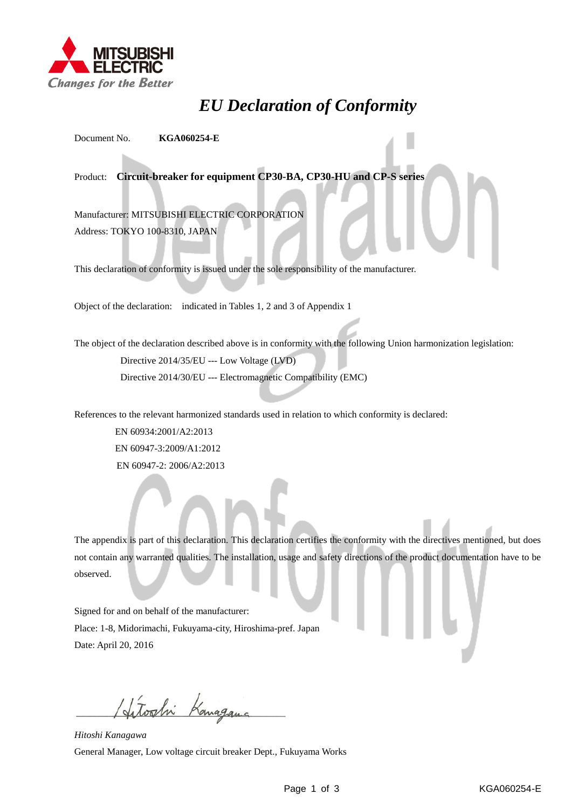

## *EU Declaration of Conformity*

Document No. **KGA060254-E**

Product: **Circuit-breaker for equipment CP30-BA, CP30-HU and CP-S series**

Manufacturer: MITSUBISHI ELECTRIC CORPORATION Address: TOKYO 100-8310, JAPAN

This declaration of conformity is issued under the sole responsibility of the manufacturer.

Object of the declaration: indicated in Tables 1, 2 and 3 of Appendix 1

The object of the declaration described above is in conformity with the following Union harmonization legislation: Directive 2014/35/EU --- Low Voltage (LVD) Directive 2014/30/EU --- Electromagnetic Compatibility (EMC)

References to the relevant harmonized standards used in relation to which conformity is declared:

EN 60934:2001/A2:2013 EN 60947-3:2009/A1:2012 EN 60947-2: 2006/A2:2013

The appendix is part of this declaration. This declaration certifies the conformity with the directives mentioned, but does not contain any warranted qualities. The installation, usage and safety directions of the product documentation have to be observed.

Signed for and on behalf of the manufacturer: Place: 1-8, Midorimachi, Fukuyama-city, Hiroshima-pref. Japan Date: April 20, 2016

Hitoshi Kanagama

*Hitoshi Kanagawa* General Manager, Low voltage circuit breaker Dept., Fukuyama Works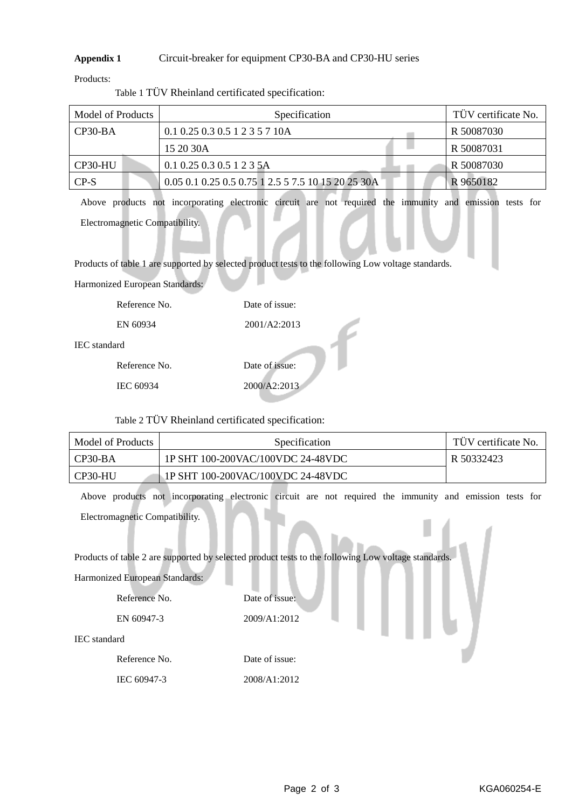## **Appendix 1** Circuit-breaker for equipment CP30-BA and CP30-HU series

Products:

| Model of Products |  | Specification                                      |  | TÜV certificate No. |
|-------------------|--|----------------------------------------------------|--|---------------------|
| $CP30-BA$         |  | $0.1\ 0.25\ 0.3\ 0.5\ 1\ 2\ 3\ 5\ 7\ 10A$          |  | R 50087030          |
|                   |  | 15 20 30A                                          |  | R 50087031          |
| CP30-HU           |  | $0.1$ 0.25 0.3 0.5 1 2 3 5A                        |  | R 50087030          |
| $CP-S$            |  | 0.05 0.1 0.25 0.5 0.75 1 2.5 5 7.5 10 15 20 25 30A |  | R 9650182           |

Table 1 TÜV Rheinland certificated specification:

Above products not incorporating electronic circuit are not required the immunity and emission tests for Electromagnetic Compatibility.

Products of table 1 are supported by selected product tests to the following Low voltage standards.

Harmonized European Standards:

|                     | Reference No. | Date of issue: |
|---------------------|---------------|----------------|
|                     | EN 60934      | 2001/A2:2013   |
| <b>IEC</b> standard |               |                |
|                     | Reference No. | Date of issue: |
|                     | IEC 60934     | 2000/A2:2013   |
|                     |               |                |

Table 2 TÜV Rheinland certificated specification:

| Model of Products | <i>Specification</i>              | TUV certificate No. |
|-------------------|-----------------------------------|---------------------|
| $\Gamma$ CP30-BA  | 1P SHT 100-200VAC/100VDC 24-48VDC | R 50332423          |
| CP30-HU           | 1P SHT 100-200VAC/100VDC 24-48VDC |                     |

Above products not incorporating electronic circuit are not required the immunity and emission tests for Electromagnetic Compatibility.

Products of table 2 are supported by selected product tests to the following Low voltage standards.

Harmonized European Standards:

| Reference No. | Date of issue: |
|---------------|----------------|
| EN 60947-3    | 2009/A1:2012   |
| IEC standard  |                |
| Reference No. | Date of issue: |

IEC 60947-3 2008/A1:2012